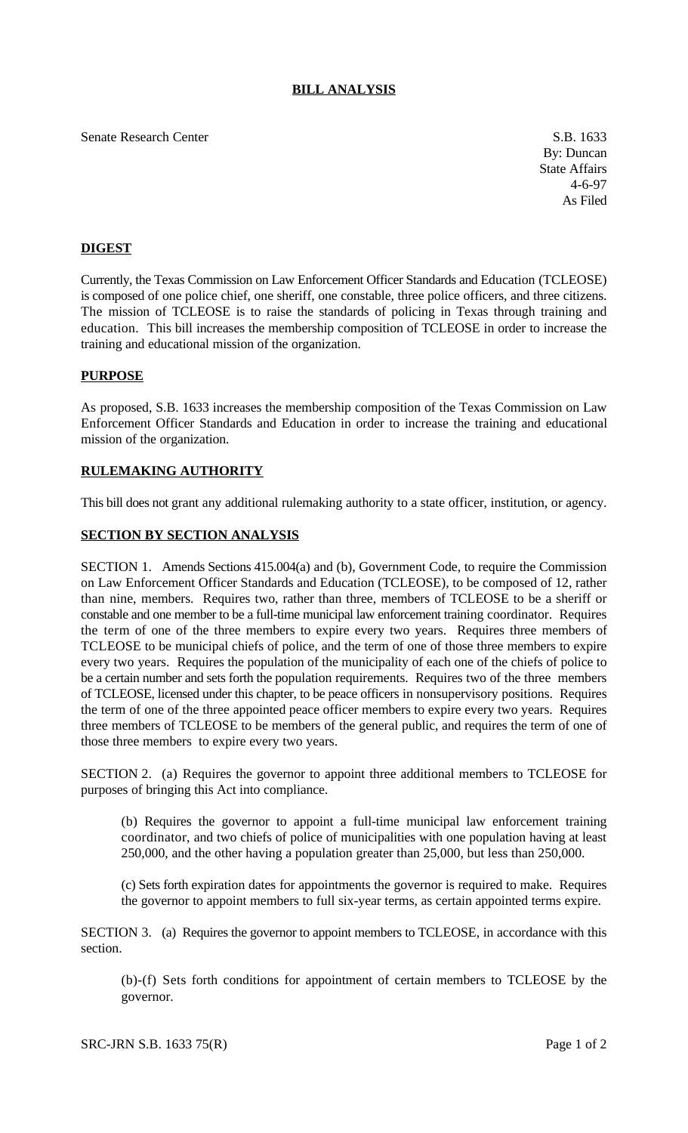# **BILL ANALYSIS**

#### Senate Research Center S.B. 1633

By: Duncan State Affairs 4-6-97 As Filed

# **DIGEST**

Currently, the Texas Commission on Law Enforcement Officer Standards and Education (TCLEOSE) is composed of one police chief, one sheriff, one constable, three police officers, and three citizens. The mission of TCLEOSE is to raise the standards of policing in Texas through training and education. This bill increases the membership composition of TCLEOSE in order to increase the training and educational mission of the organization.

### **PURPOSE**

As proposed, S.B. 1633 increases the membership composition of the Texas Commission on Law Enforcement Officer Standards and Education in order to increase the training and educational mission of the organization.

## **RULEMAKING AUTHORITY**

This bill does not grant any additional rulemaking authority to a state officer, institution, or agency.

## **SECTION BY SECTION ANALYSIS**

SECTION 1. Amends Sections 415.004(a) and (b), Government Code, to require the Commission on Law Enforcement Officer Standards and Education (TCLEOSE), to be composed of 12, rather than nine, members. Requires two, rather than three, members of TCLEOSE to be a sheriff or constable and one member to be a full-time municipal law enforcement training coordinator. Requires the term of one of the three members to expire every two years. Requires three members of TCLEOSE to be municipal chiefs of police, and the term of one of those three members to expire every two years. Requires the population of the municipality of each one of the chiefs of police to be a certain number and sets forth the population requirements. Requires two of the three members of TCLEOSE, licensed under this chapter, to be peace officers in nonsupervisory positions. Requires the term of one of the three appointed peace officer members to expire every two years. Requires three members of TCLEOSE to be members of the general public, and requires the term of one of those three members to expire every two years.

SECTION 2. (a) Requires the governor to appoint three additional members to TCLEOSE for purposes of bringing this Act into compliance.

(b) Requires the governor to appoint a full-time municipal law enforcement training coordinator, and two chiefs of police of municipalities with one population having at least 250,000, and the other having a population greater than 25,000, but less than 250,000.

(c) Sets forth expiration dates for appointments the governor is required to make. Requires the governor to appoint members to full six-year terms, as certain appointed terms expire.

SECTION 3. (a) Requires the governor to appoint members to TCLEOSE, in accordance with this section.

(b)-(f) Sets forth conditions for appointment of certain members to TCLEOSE by the governor.